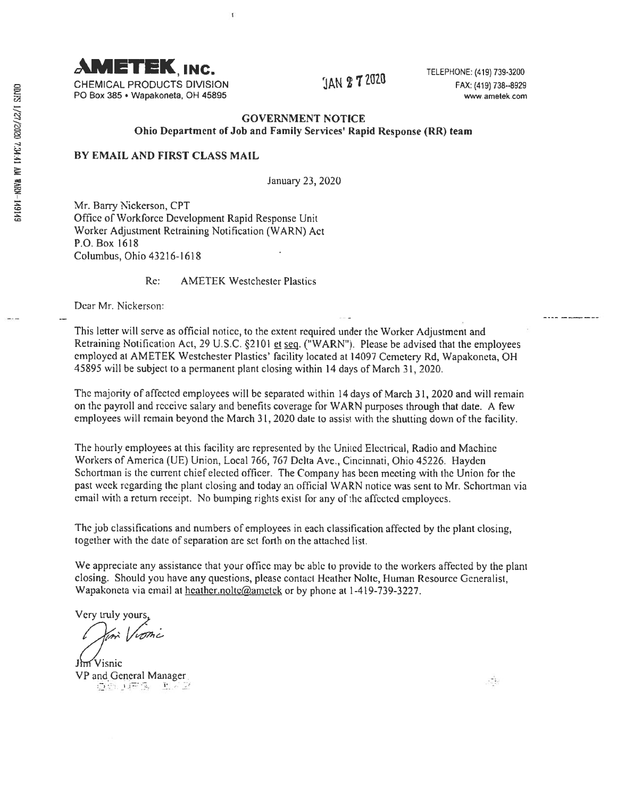

CHEMICAL PRODUCTS DIVISION  $\text{JAN 2 1 1}$   $\text{LU2}$   $\text{LU2}$   $\text{FAX: (419) 738-8929}$ P0 Box 385 • Wapakoneta, OH 45895 www.ametek.com

## GOVERNMENT NOTICE Ohio Department of Job and family Services' Rapid Response (RR) team

## BY EMAIL AND FIRST CLASS MAIL

January 23, 2020

Mr. Barry Nickerson, CPT Office of Workforce Development Rapid Response Unit Worker Adjustment Retraining Notification (WARN) Act P.O. Box 1618 Columbus, Ohio 43216-1618

Re: AMETEK Westchester Plastics

 $\mathbf{f}$ 

Dear Mr. Nickerson:

This letter will serve as official notice, to the extent required under the Worker Adjustment and Retraining Notification Act, 29 U.S.C. §2101 et seg. ("WARN"). Please be advised that the employees employed at AMETEK Westchester Plastics' facility located at <sup>14097</sup> Cemetery Rd, Wapakoneta, OH 45895 will be subject to <sup>a</sup> permanen<sup>t</sup> <sup>p</sup>lant closing within <sup>14</sup> days of March 31, 2020.

The majority of affected employees will be separated within 14 days of March 31, 2020 and will remain on the payroll and receive salary and benefits coverage for WARN purposes through that date. <sup>A</sup> few employees will remain beyond the March 31, <sup>2020</sup> date to assist with the shutting down of the facility.

The hourly employees at this facility arc represented by the United Electrical, Radio and Machine Workers of America (UF) Union, Local 766, <sup>767</sup> Delta Ave., Cincinnati, Ohio 45226. Hayden Schortman is the current chief elected officer. The Company has been meeting with the Union for the pas<sup>t</sup> week regarding the plant closing and today an official WARN notice was sent to Mr. Schortman via email with <sup>a</sup> return receipt. No bumping rights exist for any of the affected employees.

The job classifications and numbers of employees in each classification affected by the <sup>p</sup>lant closing, together with the date of separation are Set forth on the attached list.

We appreciate any assistance that your office may be able to provide to the workers affected by the <sup>p</sup>lant closing. Should you have any questions, please contact Heather Nolte, Human Resource Generalist, Wapakoneta via email at heather.nolte@ametek or by phone at 1-419-739-3227.

Very truly yours

Jhn Visnic VP and General Manager.<br> $E = \mathbb{E} \times \mathbb{E}$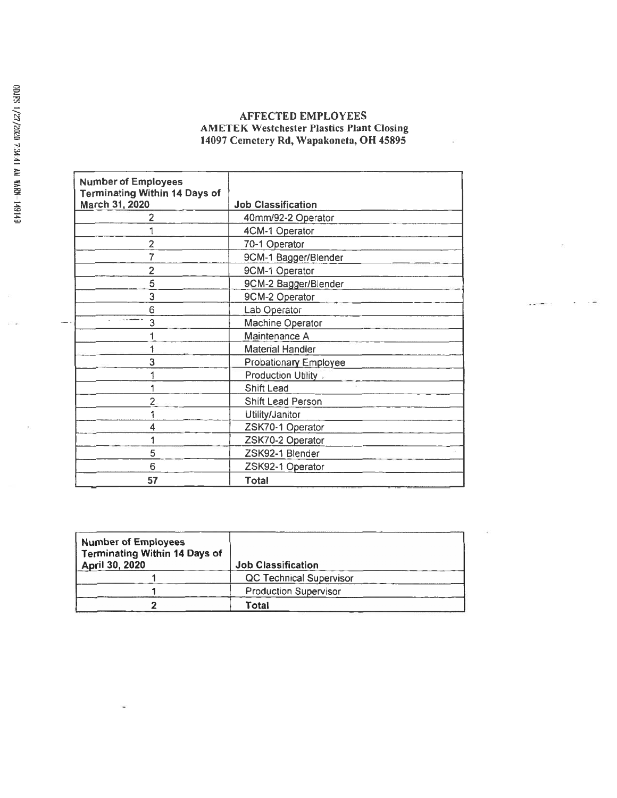## AFFECTED EMPLOYEES AMETEK Westchester Plastics Plant Closing 14097 Cemetery Rd, Wapakoneta, OH 45895

| <b>Number of Employees</b><br><b>Terminating Within 14 Days of</b> |                              |
|--------------------------------------------------------------------|------------------------------|
| March 31, 2020                                                     | <b>Job Classification</b>    |
| 2                                                                  | 40mm/92-2 Operator           |
|                                                                    | 4CM-1 Operator               |
| $\overline{2}$                                                     | 70-1 Operator                |
| 7                                                                  | 9CM-1 Bagger/Blender         |
| $\overline{2}$                                                     | 9CM-1 Operator               |
| 5                                                                  | 9CM-2 Bagger/Blender         |
| 3                                                                  | 9CM-2 Operator               |
| 6                                                                  | Lab Operator                 |
| 3                                                                  | Machine Operator             |
|                                                                    | Maintenance A                |
|                                                                    | <b>Material Handler</b>      |
| 3                                                                  | <b>Probationary Employee</b> |
|                                                                    | Production Utility.          |
|                                                                    | Shift Lead                   |
| 2                                                                  | Shift Lead Person            |
|                                                                    | Utility/Janitor              |
| 4                                                                  | ZSK70-1 Operator             |
|                                                                    | ZSK70-2 Operator             |
| 5                                                                  | ZSK92-1 Blender              |
| 6                                                                  | ZSK92-1 Operator             |
| 57                                                                 | Total                        |

| <b>Number of Employees</b><br><b>Terminating Within 14 Days of</b><br>April 30, 2020 | <b>Job Classification</b>      |  |
|--------------------------------------------------------------------------------------|--------------------------------|--|
|                                                                                      | <b>QC Technical Supervisor</b> |  |
|                                                                                      | <b>Production Supervisor</b>   |  |
|                                                                                      | Total                          |  |